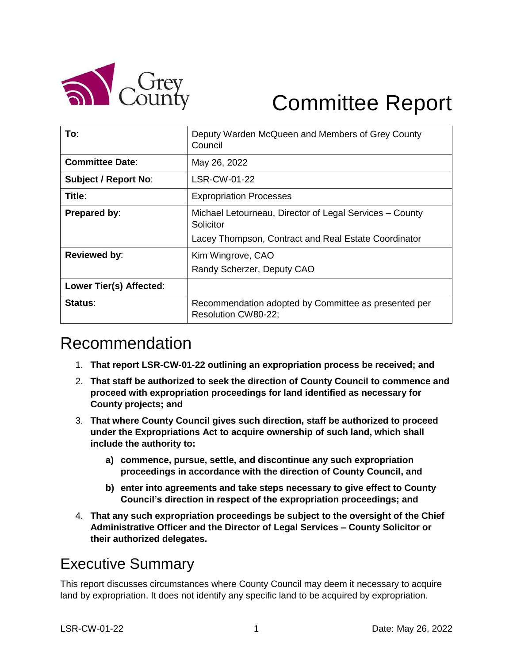

# Committee Report

| To:                         | Deputy Warden McQueen and Members of Grey County<br>Council                 |  |  |
|-----------------------------|-----------------------------------------------------------------------------|--|--|
| <b>Committee Date:</b>      | May 26, 2022                                                                |  |  |
| <b>Subject / Report No:</b> | LSR-CW-01-22                                                                |  |  |
| Title:                      | <b>Expropriation Processes</b>                                              |  |  |
| Prepared by:                | Michael Letourneau, Director of Legal Services – County<br>Solicitor        |  |  |
|                             | Lacey Thompson, Contract and Real Estate Coordinator                        |  |  |
| <b>Reviewed by:</b>         | Kim Wingrove, CAO                                                           |  |  |
|                             | Randy Scherzer, Deputy CAO                                                  |  |  |
| Lower Tier(s) Affected:     |                                                                             |  |  |
| Status:                     | Recommendation adopted by Committee as presented per<br>Resolution CW80-22; |  |  |

# Recommendation

- 1. **That report LSR-CW-01-22 outlining an expropriation process be received; and**
- 2. **That staff be authorized to seek the direction of County Council to commence and proceed with expropriation proceedings for land identified as necessary for County projects; and**
- 3. **That where County Council gives such direction, staff be authorized to proceed under the Expropriations Act to acquire ownership of such land, which shall include the authority to:**
	- **a) commence, pursue, settle, and discontinue any such expropriation proceedings in accordance with the direction of County Council, and**
	- **b) enter into agreements and take steps necessary to give effect to County Council's direction in respect of the expropriation proceedings; and**
- 4. **That any such expropriation proceedings be subject to the oversight of the Chief Administrative Officer and the Director of Legal Services – County Solicitor or their authorized delegates.**

# Executive Summary

This report discusses circumstances where County Council may deem it necessary to acquire land by expropriation. It does not identify any specific land to be acquired by expropriation.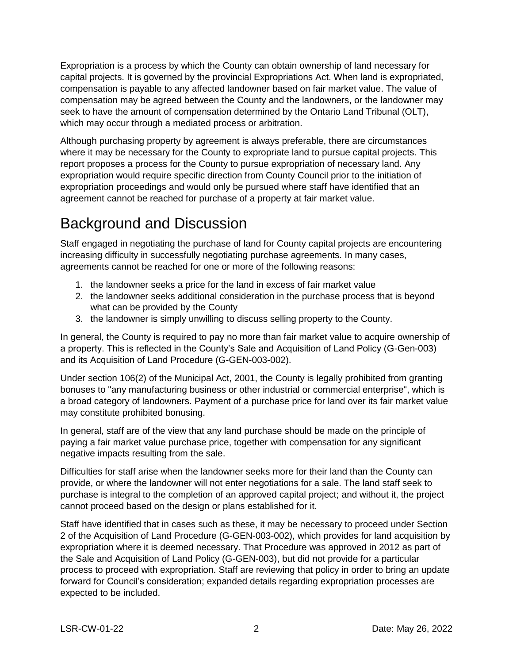Expropriation is a process by which the County can obtain ownership of land necessary for capital projects. It is governed by the provincial Expropriations Act. When land is expropriated, compensation is payable to any affected landowner based on fair market value. The value of compensation may be agreed between the County and the landowners, or the landowner may seek to have the amount of compensation determined by the Ontario Land Tribunal (OLT), which may occur through a mediated process or arbitration.

Although purchasing property by agreement is always preferable, there are circumstances where it may be necessary for the County to expropriate land to pursue capital projects. This report proposes a process for the County to pursue expropriation of necessary land. Any expropriation would require specific direction from County Council prior to the initiation of expropriation proceedings and would only be pursued where staff have identified that an agreement cannot be reached for purchase of a property at fair market value.

# Background and Discussion

Staff engaged in negotiating the purchase of land for County capital projects are encountering increasing difficulty in successfully negotiating purchase agreements. In many cases, agreements cannot be reached for one or more of the following reasons:

- 1. the landowner seeks a price for the land in excess of fair market value
- 2. the landowner seeks additional consideration in the purchase process that is beyond what can be provided by the County
- 3. the landowner is simply unwilling to discuss selling property to the County.

In general, the County is required to pay no more than fair market value to acquire ownership of a property. This is reflected in the County's Sale and Acquisition of Land Policy (G-Gen-003) and its Acquisition of Land Procedure (G-GEN-003-002).

Under section 106(2) of the Municipal Act, 2001, the County is legally prohibited from granting bonuses to "any manufacturing business or other industrial or commercial enterprise", which is a broad category of landowners. Payment of a purchase price for land over its fair market value may constitute prohibited bonusing.

In general, staff are of the view that any land purchase should be made on the principle of paying a fair market value purchase price, together with compensation for any significant negative impacts resulting from the sale.

Difficulties for staff arise when the landowner seeks more for their land than the County can provide, or where the landowner will not enter negotiations for a sale. The land staff seek to purchase is integral to the completion of an approved capital project; and without it, the project cannot proceed based on the design or plans established for it.

Staff have identified that in cases such as these, it may be necessary to proceed under Section 2 of the Acquisition of Land Procedure (G-GEN-003-002), which provides for land acquisition by expropriation where it is deemed necessary. That Procedure was approved in 2012 as part of the Sale and Acquisition of Land Policy (G-GEN-003), but did not provide for a particular process to proceed with expropriation. Staff are reviewing that policy in order to bring an update forward for Council's consideration; expanded details regarding expropriation processes are expected to be included.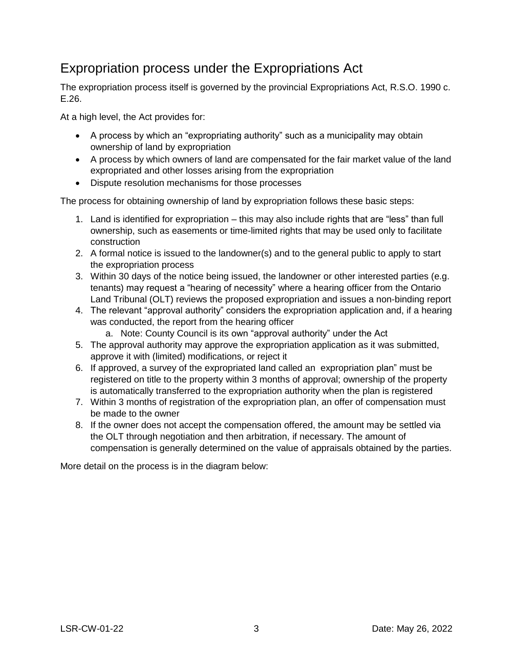## Expropriation process under the Expropriations Act

The expropriation process itself is governed by the provincial Expropriations Act, R.S.O. 1990 c. E.26.

At a high level, the Act provides for:

- A process by which an "expropriating authority" such as a municipality may obtain ownership of land by expropriation
- A process by which owners of land are compensated for the fair market value of the land expropriated and other losses arising from the expropriation
- Dispute resolution mechanisms for those processes

The process for obtaining ownership of land by expropriation follows these basic steps:

- 1. Land is identified for expropriation this may also include rights that are "less" than full ownership, such as easements or time-limited rights that may be used only to facilitate construction
- 2. A formal notice is issued to the landowner(s) and to the general public to apply to start the expropriation process
- 3. Within 30 days of the notice being issued, the landowner or other interested parties (e.g. tenants) may request a "hearing of necessity" where a hearing officer from the Ontario Land Tribunal (OLT) reviews the proposed expropriation and issues a non-binding report
- 4. The relevant "approval authority" considers the expropriation application and, if a hearing was conducted, the report from the hearing officer
	- a. Note: County Council is its own "approval authority" under the Act
- 5. The approval authority may approve the expropriation application as it was submitted, approve it with (limited) modifications, or reject it
- 6. If approved, a survey of the expropriated land called an expropriation plan" must be registered on title to the property within 3 months of approval; ownership of the property is automatically transferred to the expropriation authority when the plan is registered
- 7. Within 3 months of registration of the expropriation plan, an offer of compensation must be made to the owner
- 8. If the owner does not accept the compensation offered, the amount may be settled via the OLT through negotiation and then arbitration, if necessary. The amount of compensation is generally determined on the value of appraisals obtained by the parties.

More detail on the process is in the diagram below: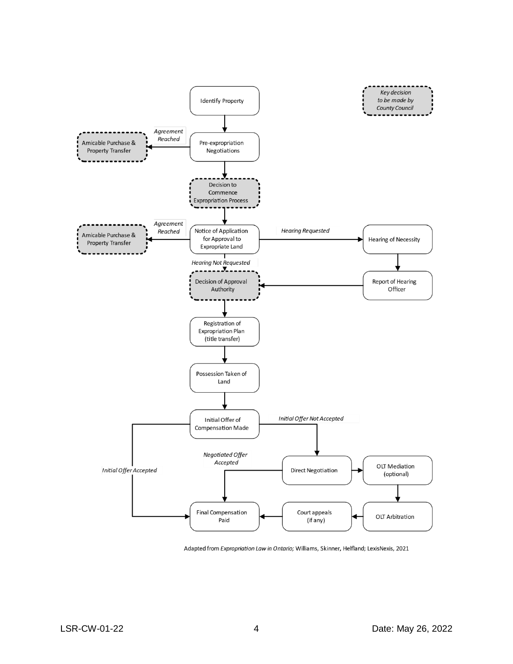

Adapted from Expropriation Law in Ontario; Williams, Skinner, Helfland; LexisNexis, 2021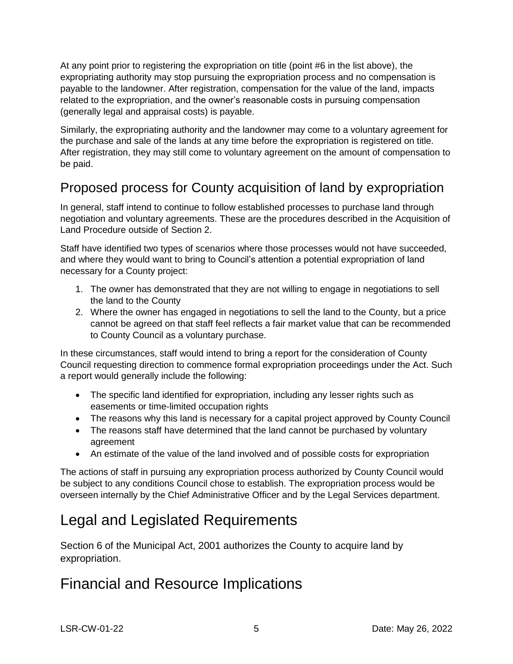At any point prior to registering the expropriation on title (point #6 in the list above), the expropriating authority may stop pursuing the expropriation process and no compensation is payable to the landowner. After registration, compensation for the value of the land, impacts related to the expropriation, and the owner's reasonable costs in pursuing compensation (generally legal and appraisal costs) is payable.

Similarly, the expropriating authority and the landowner may come to a voluntary agreement for the purchase and sale of the lands at any time before the expropriation is registered on title. After registration, they may still come to voluntary agreement on the amount of compensation to be paid.

## Proposed process for County acquisition of land by expropriation

In general, staff intend to continue to follow established processes to purchase land through negotiation and voluntary agreements. These are the procedures described in the Acquisition of Land Procedure outside of Section 2.

Staff have identified two types of scenarios where those processes would not have succeeded, and where they would want to bring to Council's attention a potential expropriation of land necessary for a County project:

- 1. The owner has demonstrated that they are not willing to engage in negotiations to sell the land to the County
- 2. Where the owner has engaged in negotiations to sell the land to the County, but a price cannot be agreed on that staff feel reflects a fair market value that can be recommended to County Council as a voluntary purchase.

In these circumstances, staff would intend to bring a report for the consideration of County Council requesting direction to commence formal expropriation proceedings under the Act. Such a report would generally include the following:

- The specific land identified for expropriation, including any lesser rights such as easements or time-limited occupation rights
- The reasons why this land is necessary for a capital project approved by County Council
- The reasons staff have determined that the land cannot be purchased by voluntary agreement
- An estimate of the value of the land involved and of possible costs for expropriation

The actions of staff in pursuing any expropriation process authorized by County Council would be subject to any conditions Council chose to establish. The expropriation process would be overseen internally by the Chief Administrative Officer and by the Legal Services department.

# Legal and Legislated Requirements

Section 6 of the Municipal Act, 2001 authorizes the County to acquire land by expropriation.

# Financial and Resource Implications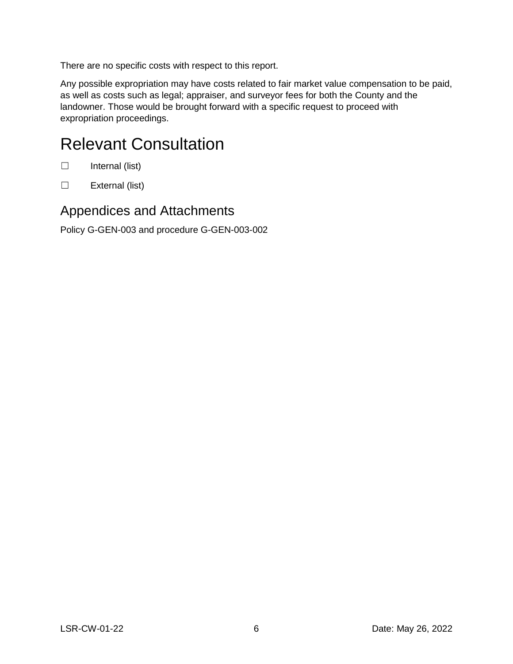There are no specific costs with respect to this report.

Any possible expropriation may have costs related to fair market value compensation to be paid, as well as costs such as legal; appraiser, and surveyor fees for both the County and the landowner. Those would be brought forward with a specific request to proceed with expropriation proceedings.

# Relevant Consultation

- ☐ Internal (list)
- ☐ External (list)

### Appendices and Attachments

Policy G-GEN-003 and procedure G-GEN-003-002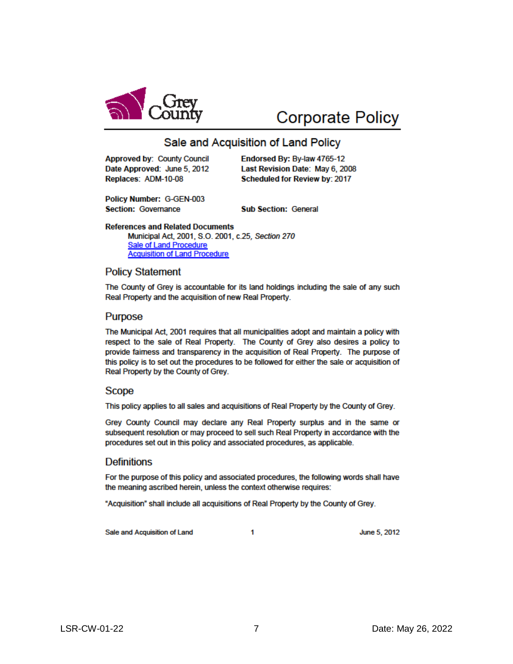

# **Corporate Policy**

### Sale and Acquisition of Land Policy

**Approved by: County Council** Date Approved: June 5, 2012 Replaces: ADM-10-08

Endorsed By: By-law 4765-12 Last Revision Date: May 6, 2008 Scheduled for Review by: 2017

Policy Number: G-GEN-003 **Section: Governance** 

**Sub Section: General** 

**References and Related Documents** 

Municipal Act, 2001, S.O. 2001, c.25, Section 270 **Sale of Land Procedure Acquisition of Land Procedure** 

### **Policy Statement**

The County of Grey is accountable for its land holdings including the sale of any such Real Property and the acquisition of new Real Property.

### **Purpose**

The Municipal Act, 2001 requires that all municipalities adopt and maintain a policy with respect to the sale of Real Property. The County of Grey also desires a policy to provide faimess and transparency in the acquisition of Real Property. The purpose of this policy is to set out the procedures to be followed for either the sale or acquisition of Real Property by the County of Grey.

### Scope

This policy applies to all sales and acquisitions of Real Property by the County of Grey.

Grey County Council may declare any Real Property surplus and in the same or subsequent resolution or may proceed to sell such Real Property in accordance with the procedures set out in this policy and associated procedures, as applicable.

### **Definitions**

For the purpose of this policy and associated procedures, the following words shall have the meaning ascribed herein, unless the context otherwise requires:

"Acquisition" shall include all acquisitions of Real Property by the County of Grey.

Sale and Acquisition of Land

1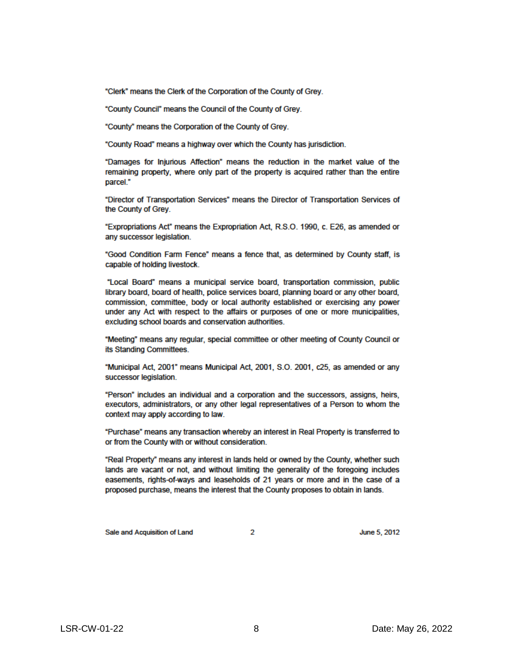"Clerk" means the Clerk of the Corporation of the County of Grey.

"County Council" means the Council of the County of Grey.

"County" means the Corporation of the County of Grey.

"County Road" means a highway over which the County has jurisdiction.

"Damages for Injurious Affection" means the reduction in the market value of the remaining property, where only part of the property is acquired rather than the entire parcel."

"Director of Transportation Services" means the Director of Transportation Services of the County of Grey.

"Expropriations Act" means the Expropriation Act, R.S.O. 1990, c. E26, as amended or any successor legislation.

"Good Condition Farm Fence" means a fence that, as determined by County staff, is capable of holding livestock.

"Local Board" means a municipal service board, transportation commission, public library board, board of health, police services board, planning board or any other board. commission, committee, body or local authority established or exercising any power under any Act with respect to the affairs or purposes of one or more municipalities, excluding school boards and conservation authorities.

"Meeting" means any regular, special committee or other meeting of County Council or its Standing Committees.

"Municipal Act, 2001" means Municipal Act, 2001, S.O. 2001, c25, as amended or any successor legislation.

"Person" includes an individual and a corporation and the successors, assigns, heirs, executors, administrators, or any other legal representatives of a Person to whom the context may apply according to law.

"Purchase" means any transaction whereby an interest in Real Property is transferred to or from the County with or without consideration.

"Real Property" means any interest in lands held or owned by the County, whether such lands are vacant or not, and without limiting the generality of the foregoing includes easements, rights-of-ways and leaseholds of 21 years or more and in the case of a proposed purchase, means the interest that the County proposes to obtain in lands.

Sale and Acquisition of Land

 $\mathcal{D}$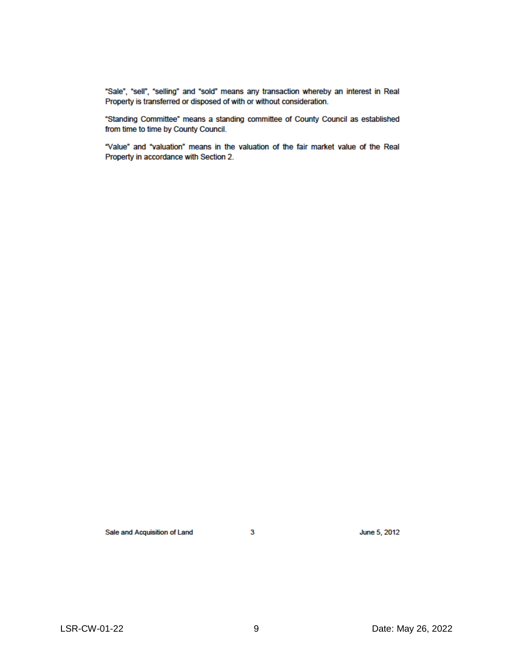"Sale", "sell", "selling" and "sold" means any transaction whereby an interest in Real Property is transferred or disposed of with or without consideration.

"Standing Committee" means a standing committee of County Council as established from time to time by County Council.

"Value" and "valuation" means in the valuation of the fair market value of the Real Property in accordance with Section 2.

Sale and Acquisition of Land

 $\mathbf{3}$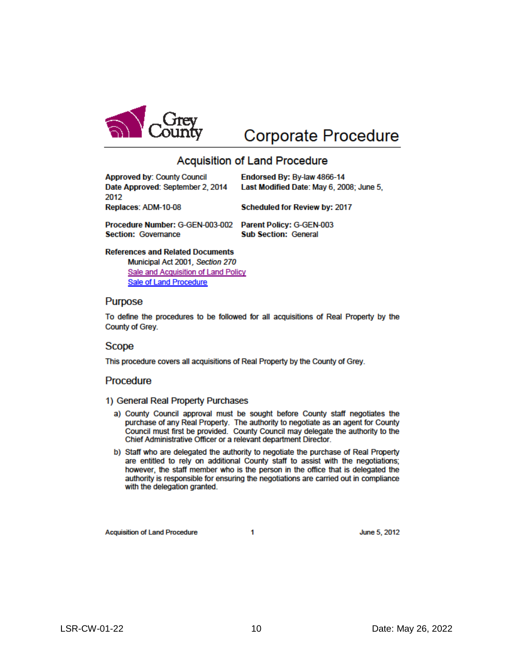

# **Corporate Procedure**

### **Acquisition of Land Procedure**

| <b>Approved by: County Council</b> | Endorsed By: By-law 4866-14              |
|------------------------------------|------------------------------------------|
| Date Approved: September 2, 2014   | Last Modified Date: May 6, 2008; June 5, |
| 2012                               |                                          |
| Replaces: ADM-10-08                | <b>Scheduled for Review by: 2017</b>     |
|                                    |                                          |
| Procedure Number: G-GEN-003-002    | <b>Parent Policy: G-GEN-003</b>          |
| <b>Section: Governance</b>         | <b>Sub Section: General</b>              |

#### **References and Related Documents**

Municipal Act 2001, Section 270 Sale and Acquisition of Land Policy **Sale of Land Procedure** 

#### Purpose

To define the procedures to be followed for all acquisitions of Real Property by the County of Grey.

#### **Scope**

This procedure covers all acquisitions of Real Property by the County of Grey.

### Procedure

#### 1) General Real Property Purchases

- a) County Council approval must be sought before County staff negotiates the purchase of any Real Property. The authority to negotiate as an agent for County Council must first be provided. County Council may delegate the authority to the Chief Administrative Officer or a relevant department Director.
- b) Staff who are delegated the authority to negotiate the purchase of Real Property are entitled to rely on additional County staff to assist with the negotiations; however, the staff member who is the person in the office that is delegated the authority is responsible for ensuring the negotiations are carried out in compliance with the delegation granted.

**Acquisition of Land Procedure** 

1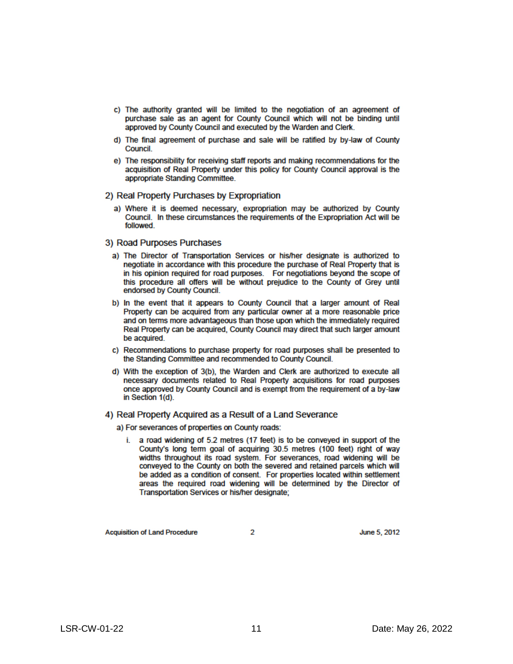- c) The authority granted will be limited to the negotiation of an agreement of purchase sale as an agent for County Council which will not be binding until approved by County Council and executed by the Warden and Clerk.
- d) The final agreement of purchase and sale will be ratified by by-law of County Council.
- e) The responsibility for receiving staff reports and making recommendations for the acquisition of Real Property under this policy for County Council approval is the appropriate Standing Committee.

#### 2) Real Property Purchases by Expropriation

a) Where it is deemed necessary, expropriation may be authorized by County Council. In these circumstances the requirements of the Expropriation Act will be followed.

#### 3) Road Purposes Purchases

- a) The Director of Transportation Services or his/her designate is authorized to negotiate in accordance with this procedure the purchase of Real Property that is in his opinion required for road purposes. For negotiations beyond the scope of this procedure all offers will be without prejudice to the County of Grey until endorsed by County Council.
- b) In the event that it appears to County Council that a larger amount of Real Property can be acquired from any particular owner at a more reasonable price and on terms more advantageous than those upon which the immediately required Real Property can be acquired, County Council may direct that such larger amount be acquired.
- c) Recommendations to purchase property for road purposes shall be presented to the Standing Committee and recommended to County Council.
- d) With the exception of 3(b), the Warden and Clerk are authorized to execute all necessary documents related to Real Property acquisitions for road purposes once approved by County Council and is exempt from the requirement of a by-law in Section 1(d).

### 4) Real Property Acquired as a Result of a Land Severance

a) For severances of properties on County roads:

i. a road widening of 5.2 metres (17 feet) is to be conveyed in support of the County's long term goal of acquiring 30.5 metres (100 feet) right of way widths throughout its road system. For severances, road widening will be conveyed to the County on both the severed and retained parcels which will be added as a condition of consent. For properties located within settlement areas the required road widening will be determined by the Director of Transportation Services or his/her designate;

**Acquisition of Land Procedure** 

 $\mathcal{P}$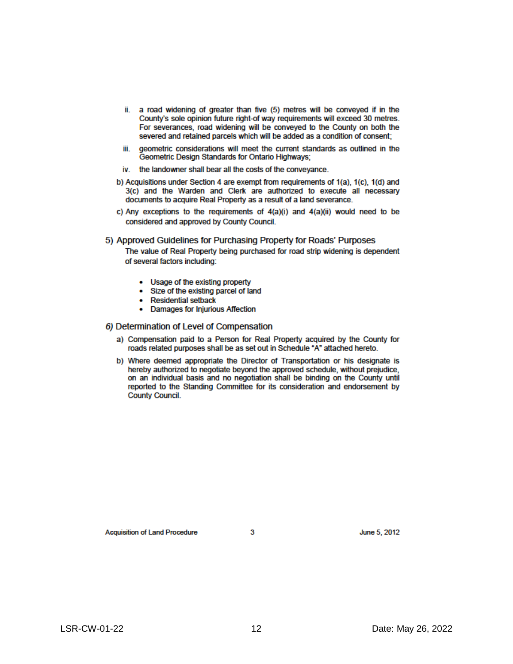- ii. a road widening of greater than five (5) metres will be conveyed if in the County's sole opinion future right-of way requirements will exceed 30 metres. For severances, road widening will be conveyed to the County on both the severed and retained parcels which will be added as a condition of consent;
- geometric considerations will meet the current standards as outlined in the iii. Geometric Design Standards for Ontario Highways;
- iv. the landowner shall bear all the costs of the conveyance.
- b) Acquisitions under Section 4 are exempt from requirements of 1(a), 1(c), 1(d) and 3(c) and the Warden and Clerk are authorized to execute all necessary documents to acquire Real Property as a result of a land severance.
- c) Any exceptions to the requirements of 4(a)(i) and 4(a)(ii) would need to be considered and approved by County Council.

5) Approved Guidelines for Purchasing Property for Roads' Purposes

The value of Real Property being purchased for road strip widening is dependent of several factors including:

- Usage of the existing property
- Size of the existing parcel of land
- **Residential setback** ۰
- **Damages for Injurious Affection**  $\bullet$

#### 6) Determination of Level of Compensation

- a) Compensation paid to a Person for Real Property acquired by the County for roads related purposes shall be as set out in Schedule "A" attached hereto.
- b) Where deemed appropriate the Director of Transportation or his designate is hereby authorized to negotiate beyond the approved schedule, without prejudice, on an individual basis and no negotiation shall be binding on the County until reported to the Standing Committee for its consideration and endorsement by **County Council.**

June 5, 2012

3